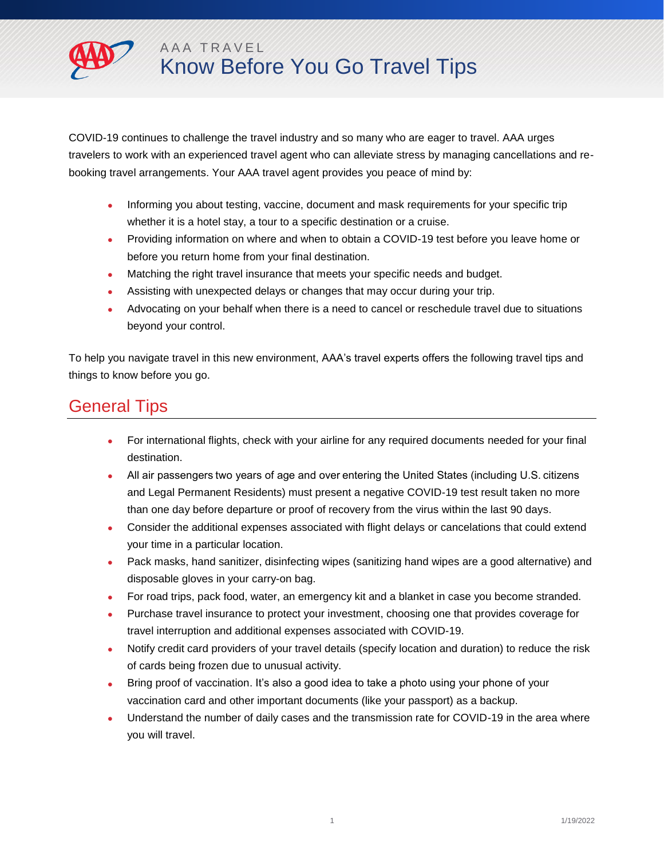

COVID-19 continues to challenge the travel industry and so many who are eager to travel. AAA urges travelers to work with an experienced travel agent who can alleviate stress by managing cancellations and rebooking travel arrangements. Your AAA travel agent provides you peace of mind by:

- Informing you about testing, vaccine, document and mask requirements for your specific trip whether it is a hotel stay, a tour to a specific destination or a cruise.
- Providing information on where and when to obtain a COVID-19 test before you leave home or before you return home from your final destination.
- Matching the right travel insurance that meets your specific needs and budget.
- Assisting with unexpected delays or changes that may occur during your trip.
- Advocating on your behalf when there is a need to cancel or reschedule travel due to situations beyond your control.

To help you navigate travel in this new environment, AAA's travel experts offers the following travel tips and things to know before you go.

## General Tips

- For international flights, check with your airline for any required documents needed for your final destination.
- All air passengers two years of age and over entering the United States (including U.S. citizens and Legal Permanent Residents) must present a negative COVID-19 test result taken no more than one day before departure or proof of recovery from the virus within the last 90 days.
- Consider the additional expenses associated with flight delays or cancelations that could extend your time in a particular location.
- Pack masks, hand sanitizer, disinfecting wipes (sanitizing hand wipes are a good alternative) and disposable gloves in your carry-on bag.
- For road trips, pack food, water, an emergency kit and a blanket in case you become stranded.
- Purchase travel insurance to protect your investment, choosing one that provides coverage for travel interruption and additional expenses associated with COVID-19.
- Notify credit card providers of your travel details (specify location and duration) to reduce the risk of cards being frozen due to unusual activity.
- Bring proof of vaccination. It's also a good idea to take a photo using your phone of your vaccination card and other important documents (like your passport) as a backup.
- Understand the number of daily cases and the transmission rate for COVID-19 in the area where you will travel.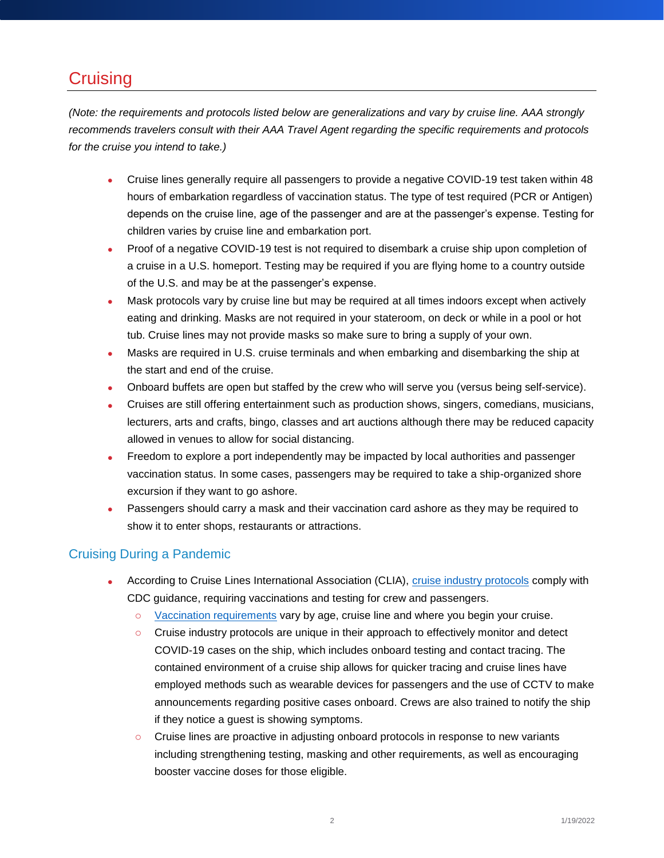# **Cruising**

*(Note: the requirements and protocols listed below are generalizations and vary by cruise line. AAA strongly recommends travelers consult with their AAA Travel Agent regarding the specific requirements and protocols for the cruise you intend to take.)* 

- Cruise lines generally require all passengers to provide a negative COVID-19 test taken within 48 hours of embarkation regardless of vaccination status. The type of test required (PCR or Antigen) depends on the cruise line, age of the passenger and are at the passenger's expense. Testing for children varies by cruise line and embarkation port.
- Proof of a negative COVID-19 test is not required to disembark a cruise ship upon completion of a cruise in a U.S. homeport. Testing may be required if you are flying home to a country outside of the U.S. and may be at the passenger's expense.
- Mask protocols vary by cruise line but may be required at all times indoors except when actively eating and drinking. Masks are not required in your stateroom, on deck or while in a pool or hot tub. Cruise lines may not provide masks so make sure to bring a supply of your own.
- Masks are required in U.S. cruise terminals and when embarking and disembarking the ship at the start and end of the cruise.
- Onboard buffets are open but staffed by the crew who will serve you (versus being self-service).
- Cruises are still offering entertainment such as production shows, singers, comedians, musicians, lecturers, arts and crafts, bingo, classes and art auctions although there may be reduced capacity allowed in venues to allow for social distancing.
- Freedom to explore a port independently may be impacted by local authorities and passenger vaccination status. In some cases, passengers may be required to take a ship-organized shore excursion if they want to go ashore.
- Passengers should carry a mask and their vaccination card ashore as they may be required to show it to enter shops, restaurants or attractions.

### Cruising During a Pandemic

- According to Cruise Lines International Association (CLIA), [cruise industry protocols](https://cruising.org/en/news-and-research/press-room/2021/december/clia-statement-in-response-to-cdc-level-4-warning-against-cruise-travel) comply with CDC guidance, requiring vaccinations and testing for crew and passengers.
	- $\circ$  [Vaccination requirements](https://cruising.org/en/news-and-research/press-room/2022/january/clia-statement-on-the-transition-of-the-conditional-sailing-order-to-a-voluntary-program) vary by age, cruise line and where you begin your cruise.
	- o Cruise industry protocols are unique in their approach to effectively monitor and detect COVID-19 cases on the ship, which includes onboard testing and contact tracing. The contained environment of a cruise ship allows for quicker tracing and cruise lines have employed methods such as wearable devices for passengers and the use of CCTV to make announcements regarding positive cases onboard. Crews are also trained to notify the ship if they notice a guest is showing symptoms.
	- $\circ$  Cruise lines are proactive in adjusting onboard protocols in response to new variants including strengthening testing, masking and other requirements, as well as encouraging booster vaccine doses for those eligible.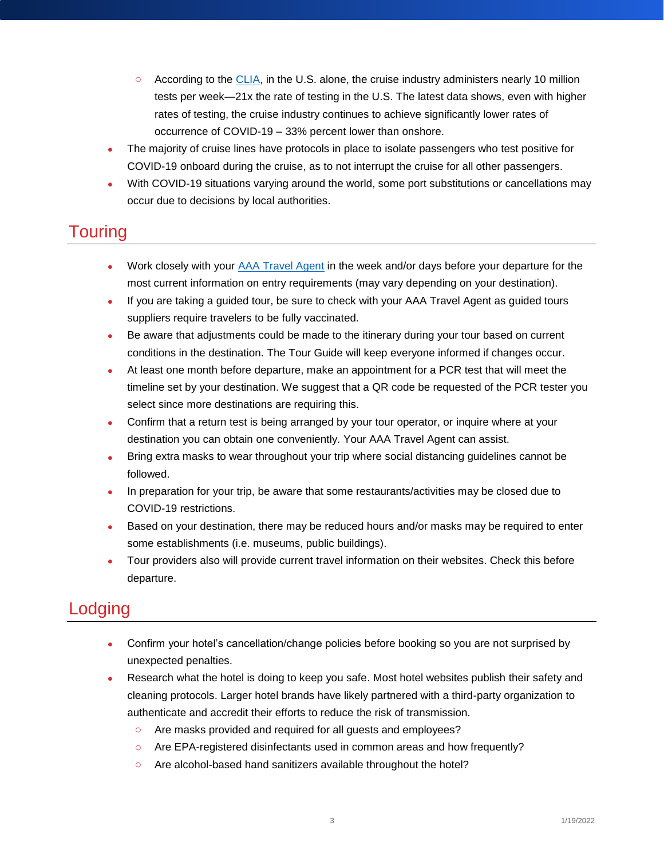- $\circ$  According to the [CLIA,](https://cruising.org/en/news-and-research/press-room/2021/december/clia-statement-in-response-to-cdc-level-4-warning-against-cruise-travel) in the U.S. alone, the cruise industry administers nearly 10 million tests per week—21x the rate of testing in the U.S. The latest data shows, even with higher rates of testing, the cruise industry continues to achieve significantly lower rates of occurrence of COVID-19 – 33% percent lower than onshore.
- The majority of cruise lines have protocols in place to isolate passengers who test positive for COVID-19 onboard during the cruise, as to not interrupt the cruise for all other passengers.
- With COVID-19 situations varying around the world, some port substitutions or cancellations may occur due to decisions by local authorities.

## **Touring**

- Work closely with your [AAA Travel Agent](https://travel.aaa.com/) in the week and/or days before your departure for the most current information on entry requirements (may vary depending on your destination).
- If you are taking a guided tour, be sure to check with your AAA Travel Agent as guided tours suppliers require travelers to be fully vaccinated.
- Be aware that adjustments could be made to the itinerary during your tour based on current conditions in the destination. The Tour Guide will keep everyone informed if changes occur.
- At least one month before departure, make an appointment for a PCR test that will meet the timeline set by your destination. We suggest that a QR code be requested of the PCR tester you select since more destinations are requiring this.
- Confirm that a return test is being arranged by your tour operator, or inquire where at your destination you can obtain one conveniently. Your AAA Travel Agent can assist.
- Bring extra masks to wear throughout your trip where social distancing guidelines cannot be followed.
- In preparation for your trip, be aware that some restaurants/activities may be closed due to COVID-19 restrictions.
- Based on your destination, there may be reduced hours and/or masks may be required to enter some establishments (i.e. museums, public buildings).
- Tour providers also will provide current travel information on their websites. Check this before departure.

# Lodging

- Confirm your hotel's cancellation/change policies before booking so you are not surprised by unexpected penalties.
- Research what the hotel is doing to keep you safe. Most hotel websites publish their safety and cleaning protocols. Larger hotel brands have likely partnered with a third-party organization to authenticate and accredit their efforts to reduce the risk of transmission.
	- o Are masks provided and required for all guests and employees?
	- o Are EPA-registered disinfectants used in common areas and how frequently?
	- o Are alcohol-based hand sanitizers available throughout the hotel?